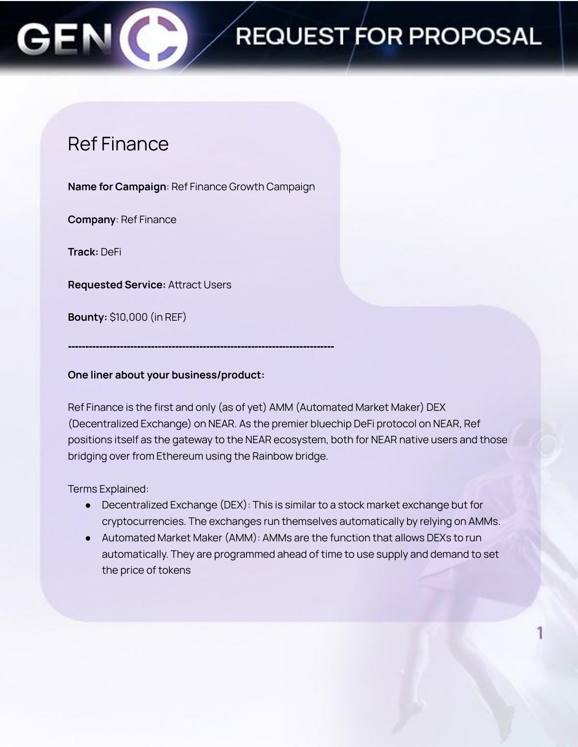## REQUEST FOR PROPOSAL

### Ref Finance

**Name for Campaign**: Ref Finance Growth Campaign

**Company**: Ref Finance

**Track:** DeFi

**Requested Service:** Attract Users

**Bounty:** \$10,000 (in REF)

**One liner about your business/product:**

**-----------------------------------------------------------------------------**

Ref Finance is the first and only (as of yet) AMM (Automated Market Maker) DEX (Decentralized Exchange) on NEAR. As the premier bluechip DeFi protocol on NEAR, Ref positions itself as the gateway to the NEAR ecosystem, both for NEAR native users and those bridging over from Ethereum using the Rainbow bridge.

Terms Explained:

- Decentralized Exchange (DEX): This is similar to a stock market exchange but for cryptocurrencies. The exchanges run themselves automatically by relying on AMMs.
- Automated Market Maker (AMM): AMMs are the function that allows DEXs to run automatically. They are programmed ahead of time to use supply and demand to set the price of tokens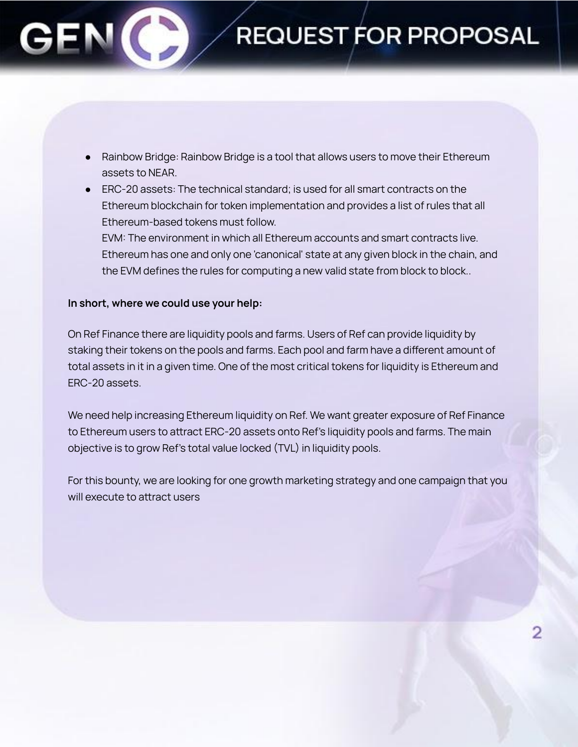## **REQUEST FOR PROPOSAL**

- Rainbow Bridge: Rainbow Bridge is a tool that allows users to move their Ethereum assets to NEAR.
- ERC-20 assets: The technical standard; is used for all smart contracts on the Ethereum blockchain for token implementation and provides a list of rules that all Ethereum-based tokens must follow.

EVM: The environment in which all Ethereum accounts and smart contracts live. Ethereum has one and only one 'canonical' state at any given block in the chain, and the EVM defines the rules for computing a new valid state from block to block..

### **In short, where we could use your help:**

On Ref Finance there are liquidity pools and farms. Users of Ref can provide liquidity by staking their tokens on the pools and farms. Each pool and farm have a different amount of total assets in it in a given time. One of the most critical tokens for liquidity is Ethereum and ERC-20 assets.

We need help increasing Ethereum liquidity on Ref. We want greater exposure of Ref Finance to Ethereum users to attract ERC-20 assets onto Ref's liquidity pools and farms. The main objective is to grow Ref's total value locked (TVL) in liquidity pools.

For this bounty, we are looking for one growth marketing strategy and one campaign that you will execute to attract users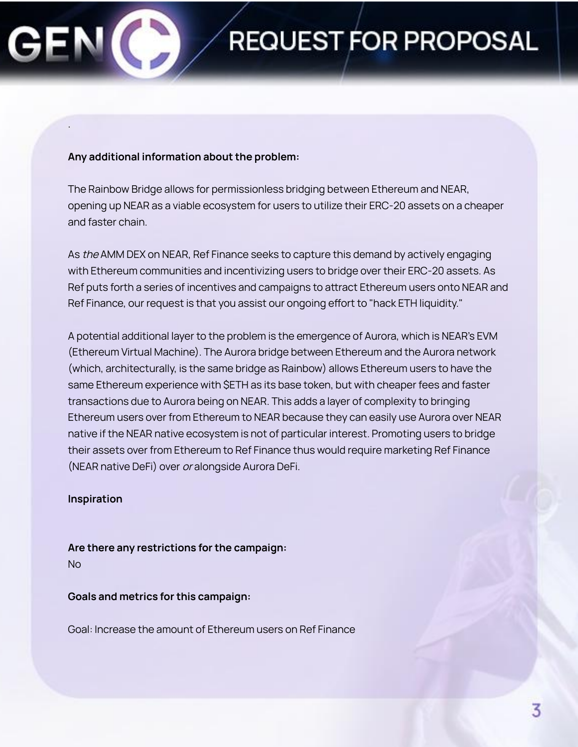.

# REQUEST FOR PROPOSAL

### **Any additional information about the problem:**

The Rainbow Bridge allows for permissionless bridging between Ethereum and NEAR, opening up NEAR as a viable ecosystem for users to utilize their ERC-20 assets on a cheaper and faster chain.

As the AMM DEX on NEAR, Ref Finance seeks to capture this demand by actively engaging with Ethereum communities and incentivizing users to bridge over their ERC-20 assets. As Ref puts forth a series of incentives and campaigns to attract Ethereum users onto NEAR and Ref Finance, our request is that you assist our ongoing effort to "hack ETH liquidity."

A potential additional layer to the problem is the emergence of Aurora, which is NEAR's EVM (Ethereum Virtual Machine). The Aurora bridge between Ethereum and the Aurora network (which, architecturally, is the same bridge as Rainbow) allows Ethereum users to have the same Ethereum experience with \$ETH as its base token, but with cheaper fees and faster transactions due to Aurora being on NEAR. This adds a layer of complexity to bringing Ethereum users over from Ethereum to NEAR because they can easily use Aurora over NEAR native if the NEAR native ecosystem is not of particular interest. Promoting users to bridge their assets over from Ethereum to Ref Finance thus would require marketing Ref Finance (NEAR native DeFi) over or alongside Aurora DeFi.

### **Inspiration**

**Are there any restrictions for the campaign:** No

**Goals and metrics for this campaign:**

Goal: Increase the amount of Ethereum users on Ref Finance